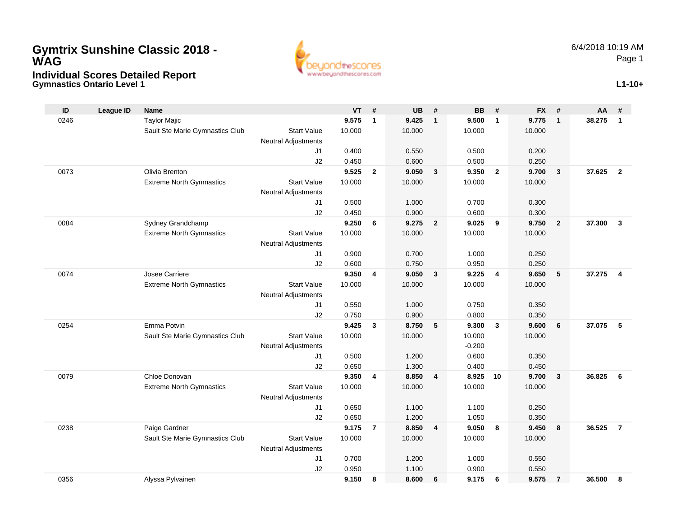## **Gymnastics Ontario Level 1 Individual Scores Detailed Report Gymtrix Sunshine Classic 2018 - WAG**



**L1-10+**

| ID   | <b>League ID</b> | <b>Name</b>                     |                            | VT              | #              | <b>UB</b>       | #              | <b>BB</b>       | #              | <b>FX</b>       | #              | AA #     |                |
|------|------------------|---------------------------------|----------------------------|-----------------|----------------|-----------------|----------------|-----------------|----------------|-----------------|----------------|----------|----------------|
| 0246 |                  | <b>Taylor Majic</b>             |                            | 9.575           | $\overline{1}$ | 9.425           | $\mathbf{1}$   | 9.500           | $\mathbf{1}$   | 9.775           | $\mathbf{1}$   | 38.275 1 |                |
|      |                  | Sault Ste Marie Gymnastics Club | <b>Start Value</b>         | 10.000          |                | 10.000          |                | 10.000          |                | 10.000          |                |          |                |
|      |                  |                                 | <b>Neutral Adjustments</b> |                 |                |                 |                |                 |                |                 |                |          |                |
|      |                  |                                 | J <sub>1</sub>             | 0.400           |                | 0.550           |                | 0.500           |                | 0.200           |                |          |                |
|      |                  |                                 | J2                         | 0.450           |                | 0.600           |                | 0.500           |                | 0.250           |                |          |                |
| 0073 |                  | Olivia Brenton                  |                            | 9.525           | $\overline{2}$ | 9.050           | $\mathbf{3}$   | 9.350           | $\overline{2}$ | 9.700           | $\mathbf{3}$   | 37.625   | $\overline{2}$ |
|      |                  | <b>Extreme North Gymnastics</b> | <b>Start Value</b>         | 10.000          |                | 10.000          |                | 10.000          |                | 10.000          |                |          |                |
|      |                  |                                 | <b>Neutral Adjustments</b> |                 |                |                 |                |                 |                |                 |                |          |                |
|      |                  |                                 | J <sub>1</sub>             | 0.500           |                | 1.000           |                | 0.700           |                | 0.300           |                |          |                |
|      |                  |                                 | J2                         | 0.450           |                | 0.900           |                | 0.600           |                | 0.300           |                |          |                |
| 0084 |                  | Sydney Grandchamp               |                            | 9.250           | 6              | 9.275           | $\overline{2}$ | 9.025           | 9              | 9.750           | $\overline{2}$ | 37.300   | 3              |
|      |                  | <b>Extreme North Gymnastics</b> | <b>Start Value</b>         | 10.000          |                | 10.000          |                | 10.000          |                | 10.000          |                |          |                |
|      |                  |                                 | Neutral Adjustments        |                 |                |                 |                |                 |                |                 |                |          |                |
|      |                  |                                 | J <sub>1</sub>             | 0.900           |                | 0.700           |                | 1.000           |                | 0.250           |                |          |                |
|      |                  |                                 | J2                         | 0.600           |                | 0.750           |                | 0.950           |                | 0.250           |                |          |                |
| 0074 |                  | Josee Carriere                  |                            | 9.350           | $\overline{4}$ | 9.050           | $\mathbf{3}$   | 9.225           | 4              | 9.650           | 5              | 37.275   | 4              |
|      |                  | <b>Extreme North Gymnastics</b> | <b>Start Value</b>         | 10.000          |                | 10.000          |                | 10.000          |                | 10.000          |                |          |                |
|      |                  |                                 | <b>Neutral Adjustments</b> |                 |                |                 |                |                 |                |                 |                |          |                |
|      |                  |                                 | J1                         | 0.550           |                | 1.000           |                | 0.750           |                | 0.350           |                |          |                |
|      |                  |                                 | J2                         | 0.750           |                | 0.900           |                | 0.800           |                | 0.350           |                |          |                |
| 0254 |                  | Emma Potvin                     |                            | 9.425           | $\mathbf{3}$   | 8.750           | 5              | 9.300           | 3              | 9.600           | 6              | 37.075   | 5              |
|      |                  | Sault Ste Marie Gymnastics Club | <b>Start Value</b>         | 10.000          |                | 10.000          |                | 10.000          |                | 10.000          |                |          |                |
|      |                  |                                 | <b>Neutral Adjustments</b> |                 |                |                 |                | $-0.200$        |                |                 |                |          |                |
|      |                  |                                 | J1                         | 0.500           |                | 1.200           |                | 0.600           |                | 0.350           |                |          |                |
|      |                  |                                 | J2                         | 0.650           |                | 1.300           |                | 0.400           |                | 0.450           |                |          |                |
| 0079 |                  | Chloe Donovan                   |                            | 9.350           | $\overline{4}$ | 8.850           | $\overline{4}$ | 8.925           | 10             | 9.700           | 3              | 36.825   | 6              |
|      |                  | <b>Extreme North Gymnastics</b> | <b>Start Value</b>         | 10.000          |                | 10.000          |                | 10.000          |                | 10.000          |                |          |                |
|      |                  |                                 | <b>Neutral Adjustments</b> |                 |                |                 |                |                 |                |                 |                |          |                |
|      |                  |                                 | J <sub>1</sub>             | 0.650<br>0.650  |                | 1.100<br>1.200  |                | 1.100<br>1.050  |                | 0.250           |                |          |                |
|      |                  |                                 | J2                         |                 |                |                 |                |                 |                | 0.350           |                |          |                |
| 0238 |                  | Paige Gardner                   | <b>Start Value</b>         | 9.175<br>10.000 | -7             | 8.850<br>10.000 | $\overline{4}$ | 9.050<br>10.000 | 8              | 9.450<br>10.000 | 8              | 36.525   | $\overline{7}$ |
|      |                  | Sault Ste Marie Gymnastics Club |                            |                 |                |                 |                |                 |                |                 |                |          |                |
|      |                  |                                 | <b>Neutral Adjustments</b> | 0.700           |                | 1.200           |                | 1.000           |                | 0.550           |                |          |                |
|      |                  |                                 | J1<br>J2                   | 0.950           |                | 1.100           |                | 0.900           |                | 0.550           |                |          |                |
| 0356 |                  | Alyssa Pylvainen                |                            | 9.150           | 8              | 8.600           | 6              | 9.175           | 6              | 9.575           | $\overline{7}$ | 36.500   | я              |
|      |                  |                                 |                            |                 |                |                 |                |                 |                |                 |                |          |                |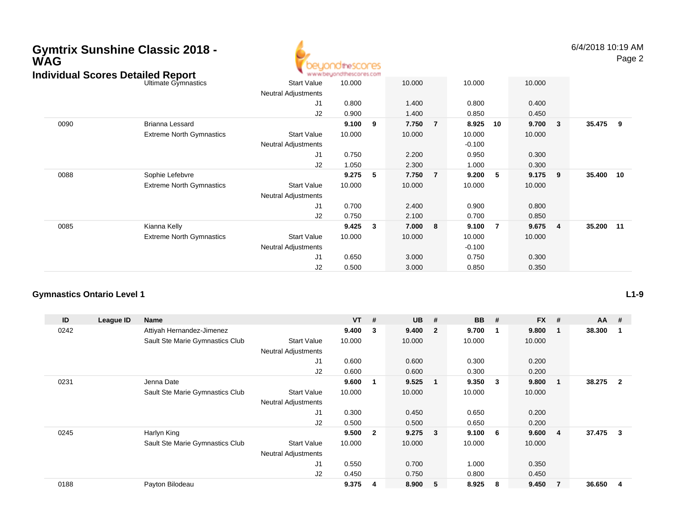| <b>WAG</b>                               | <b>Gymtrix Sunshine Classic 2018 -</b> |                                 | <b>10theSCOCES</b><br>ndthescores.com     |        |              |        |                |          |       |        |                         |           | 6/4/2018 10:19 AM<br>Page 2 |
|------------------------------------------|----------------------------------------|---------------------------------|-------------------------------------------|--------|--------------|--------|----------------|----------|-------|--------|-------------------------|-----------|-----------------------------|
| <b>Individual Scores Detailed Report</b> |                                        | Ultimate Gymnastics             | <b>Start Value</b>                        | 10.000 |              | 10.000 |                | 10.000   |       | 10.000 |                         |           |                             |
|                                          |                                        | Neutral Adjustments             |                                           |        |              |        |                |          |       |        |                         |           |                             |
|                                          |                                        | J1                              | 0.800                                     |        | 1.400        |        | 0.800          |          | 0.400 |        |                         |           |                             |
|                                          |                                        |                                 | J2                                        | 0.900  |              | 1.400  |                | 0.850    |       | 0.450  |                         |           |                             |
|                                          | 0090                                   | <b>Brianna Lessard</b>          |                                           | 9.100  | 9            | 7.750  | $\overline{7}$ | 8.925    | 10    | 9.700  | 3                       | 35.475    | 9                           |
|                                          |                                        | <b>Extreme North Gymnastics</b> | <b>Start Value</b>                        | 10.000 |              | 10.000 |                | 10.000   |       | 10.000 |                         |           |                             |
|                                          |                                        |                                 | Neutral Adjustments                       |        |              |        |                | $-0.100$ |       |        |                         |           |                             |
|                                          |                                        |                                 | J1                                        | 0.750  |              | 2.200  |                | 0.950    |       | 0.300  |                         |           |                             |
|                                          |                                        |                                 | J2                                        | 1.050  |              | 2.300  |                | 1.000    |       | 0.300  |                         |           |                             |
|                                          | 0088                                   | Sophie Lefebvre                 |                                           | 9.275  | 5            | 7.750  | $\overline{7}$ | 9.200    | - 5   | 9.175  | 9                       | 35.400 10 |                             |
|                                          |                                        | <b>Extreme North Gymnastics</b> | <b>Start Value</b><br>Neutral Adjustments | 10.000 |              | 10.000 |                | 10.000   |       | 10.000 |                         |           |                             |
|                                          |                                        |                                 | J1                                        | 0.700  |              | 2.400  |                | 0.900    |       | 0.800  |                         |           |                             |
|                                          |                                        |                                 | J2                                        | 0.750  |              | 2.100  |                | 0.700    |       | 0.850  |                         |           |                             |
|                                          | 0085                                   | Kianna Kelly                    |                                           | 9.425  | $\mathbf{3}$ | 7.000  | 8              | 9.100    | -7    | 9.675  | $\overline{\mathbf{4}}$ | 35.200    | 11                          |
|                                          |                                        | <b>Extreme North Gymnastics</b> | Start Value                               | 10.000 |              | 10.000 |                | 10.000   |       | 10.000 |                         |           |                             |
|                                          |                                        |                                 | Neutral Adjustments                       |        |              |        |                | $-0.100$ |       |        |                         |           |                             |
|                                          |                                        |                                 | J1                                        | 0.650  |              | 3.000  |                | 0.750    |       | 0.300  |                         |           |                             |
|                                          |                                        |                                 | J2                                        | 0.500  |              | 3.000  |                | 0.850    |       | 0.350  |                         |           |                             |

## **Gymnastics Ontario Level 1**

| ID   | League ID | <b>Name</b>                     |                            | <b>VT</b> | #              | <b>UB</b> | #                       | <b>BB</b> | #   | <b>FX</b> | #              | $AA$ # |                |
|------|-----------|---------------------------------|----------------------------|-----------|----------------|-----------|-------------------------|-----------|-----|-----------|----------------|--------|----------------|
| 0242 |           | Attiyah Hernandez-Jimenez       |                            | 9.400     | 3              | 9.400     | $\overline{\mathbf{2}}$ | 9.700     | -1  | 9.800     | 1              | 38.300 |                |
|      |           | Sault Ste Marie Gymnastics Club | <b>Start Value</b>         | 10.000    |                | 10.000    |                         | 10.000    |     | 10.000    |                |        |                |
|      |           |                                 | <b>Neutral Adjustments</b> |           |                |           |                         |           |     |           |                |        |                |
|      |           |                                 | J1                         | 0.600     |                | 0.600     |                         | 0.300     |     | 0.200     |                |        |                |
|      |           |                                 | J2                         | 0.600     |                | 0.600     |                         | 0.300     |     | 0.200     |                |        |                |
| 0231 |           | Jenna Date                      |                            | 9.600     | $\mathbf 1$    | 9.525     | $\overline{\mathbf{1}}$ | 9.350     | - 3 | 9.800     | -1             | 38.275 | $\overline{2}$ |
|      |           | Sault Ste Marie Gymnastics Club | <b>Start Value</b>         | 10.000    |                | 10.000    |                         | 10.000    |     | 10.000    |                |        |                |
|      |           |                                 | <b>Neutral Adjustments</b> |           |                |           |                         |           |     |           |                |        |                |
|      |           |                                 | J <sub>1</sub>             | 0.300     |                | 0.450     |                         | 0.650     |     | 0.200     |                |        |                |
|      |           |                                 | J2                         | 0.500     |                | 0.500     |                         | 0.650     |     | 0.200     |                |        |                |
| 0245 |           | Harlyn King                     |                            | 9.500     | $\overline{2}$ | 9.275     | $\overline{\mathbf{3}}$ | 9.100     | - 6 | 9.600     | 4              | 37.475 | 3              |
|      |           | Sault Ste Marie Gymnastics Club | <b>Start Value</b>         | 10.000    |                | 10.000    |                         | 10.000    |     | 10.000    |                |        |                |
|      |           |                                 | <b>Neutral Adjustments</b> |           |                |           |                         |           |     |           |                |        |                |
|      |           |                                 | J1                         | 0.550     |                | 0.700     |                         | 1.000     |     | 0.350     |                |        |                |
|      |           |                                 | J2                         | 0.450     |                | 0.750     |                         | 0.800     |     | 0.450     |                |        |                |
| 0188 |           | Payton Bilodeau                 |                            | 9.375     | 4              | 8.900     | - 5                     | 8.925     | -8  | 9.450     | $\overline{7}$ | 36.650 | 4              |

**L1-9**